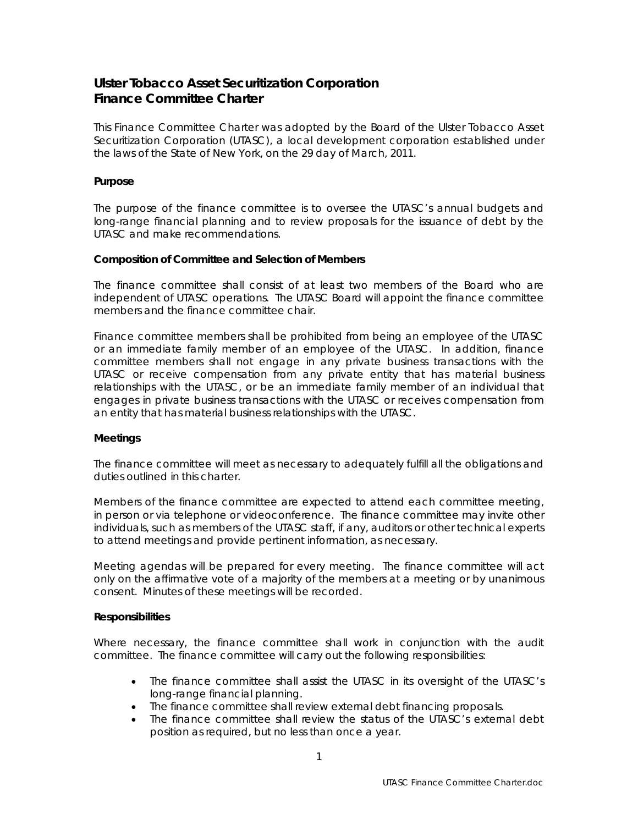# **Ulster Tobacco Asset Securitization Corporation Finance Committee Charter**

This Finance Committee Charter was adopted by the Board of the Ulster Tobacco Asset Securitization Corporation (UTASC), a local development corporation established under the laws of the State of New York, on the 29 day of March, 2011.

## **Purpose**

The purpose of the finance committee is to oversee the UTASC's annual budgets and long-range financial planning and to review proposals for the issuance of debt by the UTASC and make recommendations.

### **Composition of Committee and Selection of Members**

The finance committee shall consist of at least two members of the Board who are independent of UTASC operations. The UTASC Board will appoint the finance committee members and the finance committee chair.

Finance committee members shall be prohibited from being an employee of the UTASC or an immediate family member of an employee of the UTASC. In addition, finance committee members shall not engage in any private business transactions with the UTASC or receive compensation from any private entity that has material business relationships with the UTASC, or be an immediate family member of an individual that engages in private business transactions with the UTASC or receives compensation from an entity that has material business relationships with the UTASC.

#### **Meetings**

The finance committee will meet as necessary to adequately fulfill all the obligations and duties outlined in this charter.

Members of the finance committee are expected to attend each committee meeting, in person or via telephone or videoconference. The finance committee may invite other individuals, such as members of the UTASC staff, if any, auditors or other technical experts to attend meetings and provide pertinent information, as necessary.

Meeting agendas will be prepared for every meeting. The finance committee will act only on the affirmative vote of a majority of the members at a meeting or by unanimous consent. Minutes of these meetings will be recorded.

#### **Responsibilities**

Where necessary, the finance committee shall work in conjunction with the audit committee. The finance committee will carry out the following responsibilities:

- The finance committee shall assist the UTASC in its oversight of the UTASC's long-range financial planning.
- The finance committee shall review external debt financing proposals.
- The finance committee shall review the status of the UTASC's external debt position as required, but no less than once a year.